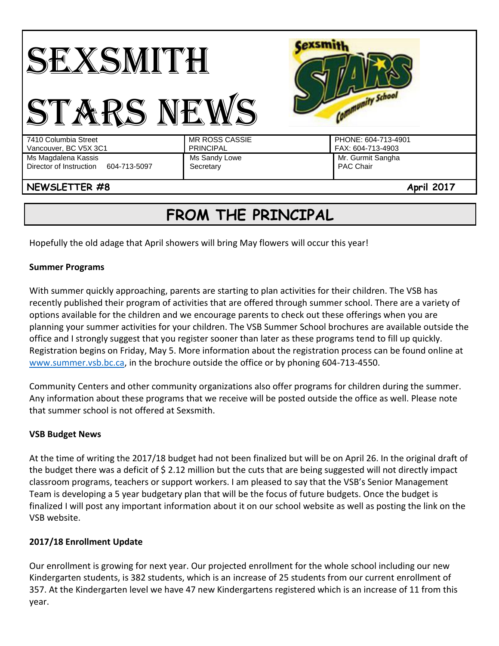

# **FROM THE PRINCIPAL**

Hopefully the old adage that April showers will bring May flowers will occur this year!

## **Summer Programs**

With summer quickly approaching, parents are starting to plan activities for their children. The VSB has recently published their program of activities that are offered through summer school. There are a variety of options available for the children and we encourage parents to check out these offerings when you are planning your summer activities for your children. The VSB Summer School brochures are available outside the office and I strongly suggest that you register sooner than later as these programs tend to fill up quickly. Registration begins on Friday, May 5. More information about the registration process can be found online at [www.summer.vsb.bc.ca,](http://www.summer.vsb.bc.ca/) in the brochure outside the office or by phoning 604-713-4550.

Community Centers and other community organizations also offer programs for children during the summer. Any information about these programs that we receive will be posted outside the office as well. Please note that summer school is not offered at Sexsmith.

#### **VSB Budget News**

At the time of writing the 2017/18 budget had not been finalized but will be on April 26. In the original draft of the budget there was a deficit of \$ 2.12 million but the cuts that are being suggested will not directly impact classroom programs, teachers or support workers. I am pleased to say that the VSB's Senior Management Team is developing a 5 year budgetary plan that will be the focus of future budgets. Once the budget is finalized I will post any important information about it on our school website as well as posting the link on the VSB website.

#### **2017/18 Enrollment Update**

Our enrollment is growing for next year. Our projected enrollment for the whole school including our new Kindergarten students, is 382 students, which is an increase of 25 students from our current enrollment of 357. At the Kindergarten level we have 47 new Kindergartens registered which is an increase of 11 from this year.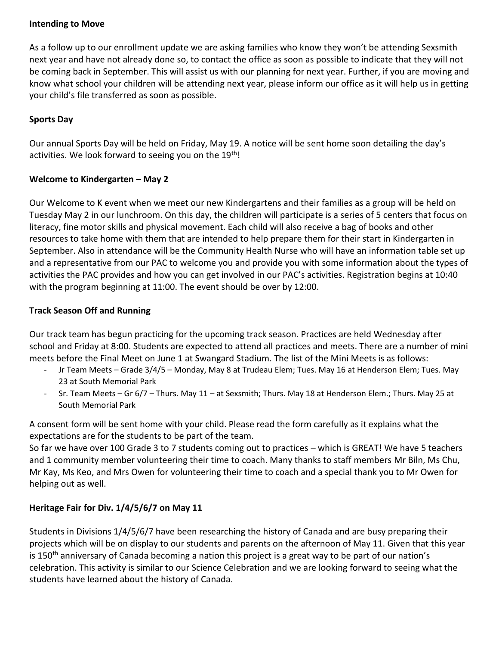## **Intending to Move**

As a follow up to our enrollment update we are asking families who know they won't be attending Sexsmith next year and have not already done so, to contact the office as soon as possible to indicate that they will not be coming back in September. This will assist us with our planning for next year. Further, if you are moving and know what school your children will be attending next year, please inform our office as it will help us in getting your child's file transferred as soon as possible.

## **Sports Day**

Our annual Sports Day will be held on Friday, May 19. A notice will be sent home soon detailing the day's activities. We look forward to seeing you on the  $19<sup>th</sup>$ !

## **Welcome to Kindergarten – May 2**

Our Welcome to K event when we meet our new Kindergartens and their families as a group will be held on Tuesday May 2 in our lunchroom. On this day, the children will participate is a series of 5 centers that focus on literacy, fine motor skills and physical movement. Each child will also receive a bag of books and other resources to take home with them that are intended to help prepare them for their start in Kindergarten in September. Also in attendance will be the Community Health Nurse who will have an information table set up and a representative from our PAC to welcome you and provide you with some information about the types of activities the PAC provides and how you can get involved in our PAC's activities. Registration begins at 10:40 with the program beginning at 11:00. The event should be over by 12:00.

## **Track Season Off and Running**

Our track team has begun practicing for the upcoming track season. Practices are held Wednesday after school and Friday at 8:00. Students are expected to attend all practices and meets. There are a number of mini meets before the Final Meet on June 1 at Swangard Stadium. The list of the Mini Meets is as follows:

- Jr Team Meets Grade 3/4/5 Monday, May 8 at Trudeau Elem; Tues. May 16 at Henderson Elem; Tues. May 23 at South Memorial Park
- Sr. Team Meets Gr 6/7 Thurs. May 11 at Sexsmith; Thurs. May 18 at Henderson Elem.; Thurs. May 25 at South Memorial Park

A consent form will be sent home with your child. Please read the form carefully as it explains what the expectations are for the students to be part of the team.

So far we have over 100 Grade 3 to 7 students coming out to practices – which is GREAT! We have 5 teachers and 1 community member volunteering their time to coach. Many thanks to staff members Mr Biln, Ms Chu, Mr Kay, Ms Keo, and Mrs Owen for volunteering their time to coach and a special thank you to Mr Owen for helping out as well.

## **Heritage Fair for Div. 1/4/5/6/7 on May 11**

Students in Divisions 1/4/5/6/7 have been researching the history of Canada and are busy preparing their projects which will be on display to our students and parents on the afternoon of May 11. Given that this year is 150<sup>th</sup> anniversary of Canada becoming a nation this project is a great way to be part of our nation's celebration. This activity is similar to our Science Celebration and we are looking forward to seeing what the students have learned about the history of Canada.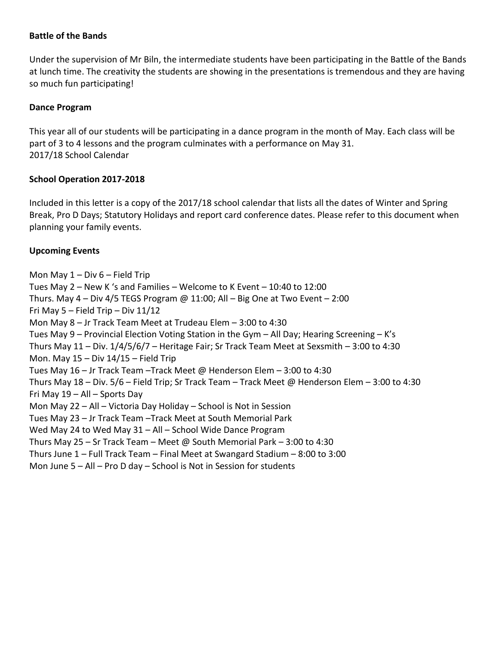## **Battle of the Bands**

Under the supervision of Mr Biln, the intermediate students have been participating in the Battle of the Bands at lunch time. The creativity the students are showing in the presentations is tremendous and they are having so much fun participating!

#### **Dance Program**

This year all of our students will be participating in a dance program in the month of May. Each class will be part of 3 to 4 lessons and the program culminates with a performance on May 31. 2017/18 School Calendar

#### **School Operation 2017-2018**

Included in this letter is a copy of the 2017/18 school calendar that lists all the dates of Winter and Spring Break, Pro D Days; Statutory Holidays and report card conference dates. Please refer to this document when planning your family events.

## **Upcoming Events**

Mon May  $1 - Div 6 - Field Trip$ Tues May 2 – New K 's and Families – Welcome to K Event – 10:40 to 12:00 Thurs. May  $4 - Div 4/5$  TEGS Program @ 11:00; All  $-$  Big One at Two Event  $-2:00$ Fri May  $5$  – Field Trip – Div  $11/12$ Mon May 8 – Jr Track Team Meet at Trudeau Elem – 3:00 to 4:30 Tues May 9 – Provincial Election Voting Station in the Gym – All Day; Hearing Screening – K's Thurs May 11 – Div. 1/4/5/6/7 – Heritage Fair; Sr Track Team Meet at Sexsmith – 3:00 to 4:30 Mon. May  $15 - Div 14/15 - Field Trip$ Tues May 16 – Jr Track Team –Track Meet @ Henderson Elem – 3:00 to 4:30 Thurs May 18 – Div. 5/6 – Field Trip; Sr Track Team – Track Meet @ Henderson Elem – 3:00 to 4:30 Fri May 19 – All – Sports Day Mon May 22 – All – Victoria Day Holiday – School is Not in Session Tues May 23 – Jr Track Team –Track Meet at South Memorial Park Wed May 24 to Wed May 31 – All – School Wide Dance Program Thurs May 25 – Sr Track Team – Meet @ South Memorial Park – 3:00 to 4:30 Thurs June 1 – Full Track Team – Final Meet at Swangard Stadium – 8:00 to 3:00 Mon June 5 – All – Pro D day – School is Not in Session for students